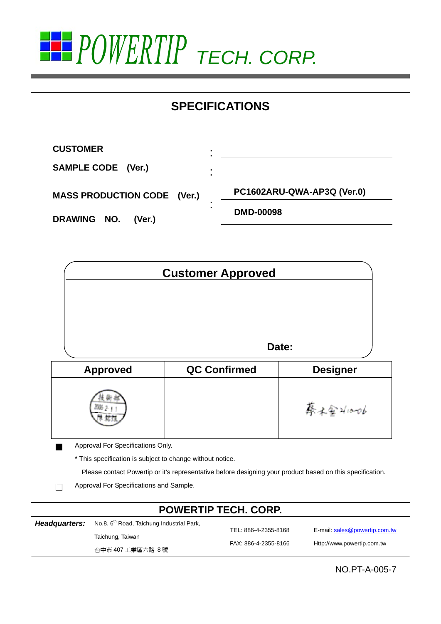

|               |                                                           |                          | <b>SPECIFICATIONS</b>                        |                                                                                                           |
|---------------|-----------------------------------------------------------|--------------------------|----------------------------------------------|-----------------------------------------------------------------------------------------------------------|
|               | <b>CUSTOMER</b>                                           |                          |                                              |                                                                                                           |
|               | <b>SAMPLE CODE (Ver.)</b>                                 |                          |                                              |                                                                                                           |
|               | <b>MASS PRODUCTION CODE (Ver.)</b>                        |                          |                                              | PC1602ARU-QWA-AP3Q (Ver.0)                                                                                |
|               | DRAWING NO.<br>(Ver.)                                     |                          | <b>DMD-00098</b>                             |                                                                                                           |
|               |                                                           | <b>Customer Approved</b> |                                              |                                                                                                           |
|               |                                                           |                          |                                              |                                                                                                           |
|               |                                                           |                          | Date:                                        |                                                                                                           |
|               | <b>Approved</b>                                           |                          | <b>QC Confirmed</b>                          | <b>Designer</b>                                                                                           |
|               |                                                           |                          |                                              | 大金2/10-06                                                                                                 |
|               | Approval For Specifications Only.                         |                          |                                              |                                                                                                           |
|               | * This specification is subject to change without notice. |                          |                                              |                                                                                                           |
|               |                                                           |                          |                                              | Please contact Powertip or it's representative before designing your product based on this specification. |
|               | Approval For Specifications and Sample.                   |                          |                                              |                                                                                                           |
|               |                                                           |                          | <b>POWERTIP TECH. CORP.</b>                  |                                                                                                           |
| Headquarters: | No.8, 6 <sup>th</sup> Road, Taichung Industrial Park,     |                          |                                              |                                                                                                           |
|               | Taichung, Taiwan                                          |                          | TEL: 886-4-2355-8168<br>FAX: 886-4-2355-8166 | E-mail: sales@powertip.com.tw<br>Http://www.powertip.com.tw                                               |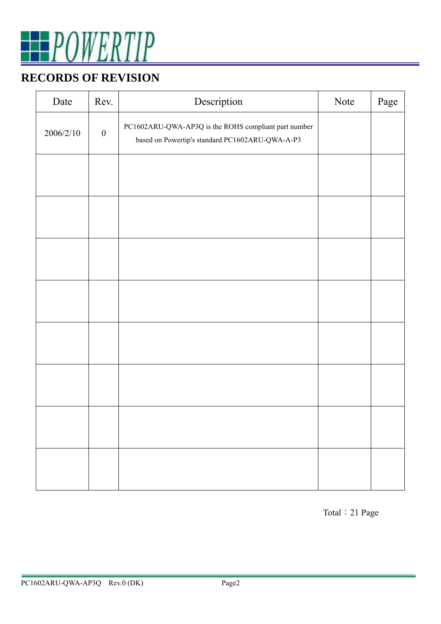

## **RECORDS OF REVISION**

| Date      | Rev.             | Description                                                                                             | Note | Page |
|-----------|------------------|---------------------------------------------------------------------------------------------------------|------|------|
| 2006/2/10 | $\boldsymbol{0}$ | PC1602ARU-QWA-AP3Q is the ROHS compliant part number<br>based on Powertip's standard PC1602ARU-QWA-A-P3 |      |      |
|           |                  |                                                                                                         |      |      |
|           |                  |                                                                                                         |      |      |
|           |                  |                                                                                                         |      |      |
|           |                  |                                                                                                         |      |      |
|           |                  |                                                                                                         |      |      |
|           |                  |                                                                                                         |      |      |
|           |                  |                                                                                                         |      |      |
|           |                  |                                                                                                         |      |      |

Total:21 Page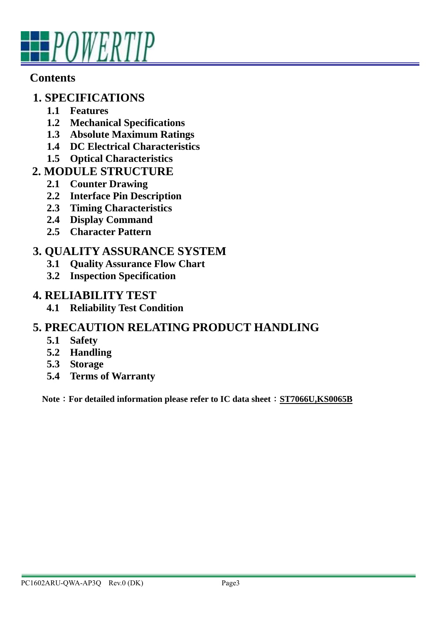

## **Contents**

## **1. SPECIFICATIONS**

- **1.1 Features**
- **1.2 Mechanical Specifications**
- **1.3 Absolute Maximum Ratings**
- **1.4 DC Electrical Characteristics**
- **1.5 Optical Characteristics**
- **2. MODULE STRUCTURE** 
	- **2.1 Counter Drawing**
	- **2.2 Interface Pin Description**
	- **2.3 Timing Characteristics**
	- **2.4 Display Command**
	- **2.5 Character Pattern**

## **3. QUALITY ASSURANCE SYSTEM**

- **3.1 Quality Assurance Flow Chart**
- **3.2 Inspection Specification**

#### **4. RELIABILITY TEST**

**4.1 Reliability Test Condition** 

## **5. PRECAUTION RELATING PRODUCT HANDLING**

- **5.1 Safety**
- **5.2 Handling**
- **5.3 Storage**
- **5.4 Terms of Warranty**

Note : For detailed information please refer to IC data sheet : ST7066U,KS0065B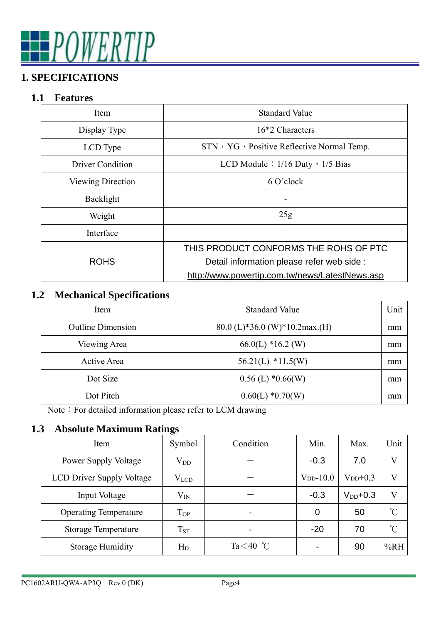# POWERTIP

## **1. SPECIFICATIONS**

## **1.1 Features**

| Item                     | <b>Standard Value</b>                          |
|--------------------------|------------------------------------------------|
| Display Type             | 16*2 Characters                                |
| LCD Type                 | STN, YG, Positive Reflective Normal Temp.      |
| Driver Condition         | LCD Module: $1/16$ Duty $\cdot$ 1/5 Bias       |
| <b>Viewing Direction</b> | 6 O'clock                                      |
| Backlight                |                                                |
| Weight                   | 25g                                            |
| Interface                |                                                |
|                          | THIS PRODUCT CONFORMS THE ROHS OF PTC          |
| <b>ROHS</b>              | Detail information please refer web side :     |
|                          | http://www.powertip.com.tw/news/LatestNews.asp |

## **1.2 Mechanical Specifications**

| Item                     | <b>Standard Value</b>           | Unit |
|--------------------------|---------------------------------|------|
| <b>Outline Dimension</b> | $80.0$ (L)*36.0 (W)*10.2max.(H) | mm   |
| Viewing Area             | $66.0(L)$ *16.2 (W)             | mm   |
| Active Area              | $56.21(L)$ *11.5(W)             | mm   |
| Dot Size                 | $0.56$ (L) $*0.66$ (W)          | mm   |
| Dot Pitch                | $0.60(L) * 0.70(W)$             | mm   |

Note: For detailed information please refer to LCM drawing

#### **1.3 Absolute Maximum Ratings**

| Item                             | Symbol       | Condition    | Min.       | Max.          | Unit                 |
|----------------------------------|--------------|--------------|------------|---------------|----------------------|
| Power Supply Voltage             | $\rm V_{DD}$ |              | $-0.3$     | 7.0           | V                    |
| <b>LCD Driver Supply Voltage</b> | $V_{LCD}$    |              | $VDD-10.0$ | $V_{DD}+0.3$  | V                    |
| Input Voltage                    | $\rm V_{IN}$ |              | $-0.3$     | $V_{DD}$ +0.3 | V                    |
| <b>Operating Temperature</b>     | $T_{OP}$     |              | 0          | 50            | $^{\circ}$ C         |
| <b>Storage Temperature</b>       | $T_{ST}$     |              | $-20$      | 70            | $\mathrm{C}^{\circ}$ |
| <b>Storage Humidity</b>          | $\rm H_D$    | Ta $<$ 40 °C |            | 90            | %RH                  |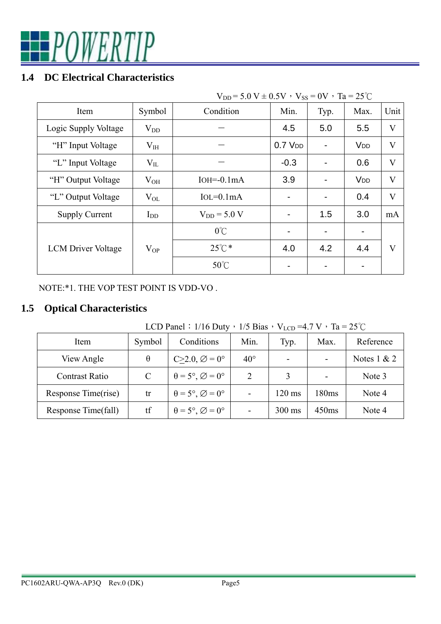

#### **1.4 DC Electrical Characteristics**

| $V_{DD} = 5.0 V \pm 0.5 V$ , $V_{SS} = 0V$ , $Ta = 25°C$ |          |                  |             |      |                       |         |  |  |
|----------------------------------------------------------|----------|------------------|-------------|------|-----------------------|---------|--|--|
| Item                                                     | Symbol   | Condition        | Min.        | Typ. | Max.                  | Unit    |  |  |
| Logic Supply Voltage                                     | $V_{DD}$ |                  | 4.5         | 5.0  | 5.5                   | V       |  |  |
| "H" Input Voltage                                        | $V_{IH}$ |                  | $0.7$ $VDD$ |      | <b>V<sub>DD</sub></b> | $\rm V$ |  |  |
| "L" Input Voltage                                        | $V_{IL}$ |                  | $-0.3$      |      | 0.6                   | V       |  |  |
| "H" Output Voltage                                       | $V_{OH}$ | $IOH = 0.1mA$    | 3.9         |      | <b>V<sub>DD</sub></b> | $\rm V$ |  |  |
| "L" Output Voltage                                       | $V_{OL}$ | $IoL = 0.1mA$    |             |      | 0.4                   | V       |  |  |
| <b>Supply Current</b>                                    | $I_{DD}$ | $V_{DD} = 5.0 V$ |             | 1.5  | 3.0                   | mA      |  |  |
|                                                          |          | $0^{\circ}$ C    |             |      |                       |         |  |  |
| <b>LCM</b> Driver Voltage                                | $V_{OP}$ | $25^{\circ}$ C * | 4.0         | 4.2  | 4.4                   | V       |  |  |
|                                                          |          | $50^{\circ}$ C   |             |      |                       |         |  |  |

NOTE:\*1. THE VOP TEST POINT IS VDD-VO .

## **1.5 Optical Characteristics**

LCD Panel:  $1/16$  Duty,  $1/5$  Bias,  $V_{LCD} = 4.7 V$ , Ta =  $25^{\circ}$ C

| Item                  | Symbol   | Conditions                                    | Min.         | Typ.             | Max.  | Reference     |
|-----------------------|----------|-----------------------------------------------|--------------|------------------|-------|---------------|
| View Angle            | $\theta$ | $C>2.0$ , $\varnothing = 0^\circ$             | $40^{\circ}$ |                  |       | Notes $1 & 2$ |
| <b>Contrast Ratio</b> | C        | $\theta = 5^{\circ}, \emptyset = 0^{\circ}$   | 2            |                  |       | Note 3        |
| Response Time(rise)   | tr       | $\theta = 5^{\circ}, \varnothing = 0^{\circ}$ | -            | $120 \text{ ms}$ | 180ms | Note 4        |
| Response Time(fall)   | tf       | $\theta = 5^{\circ}, \varnothing = 0^{\circ}$ |              | $300 \text{ ms}$ | 450ms | Note 4        |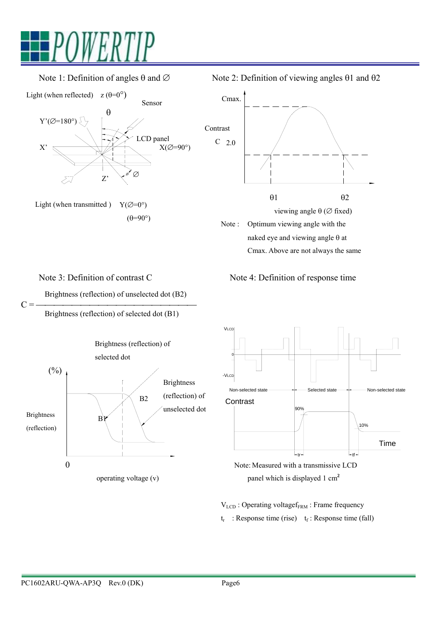



Light (when transmitted )  $Y(\varnothing=0^{\circ})$  $(\theta=90^\circ)$ 

Note 1: Definition of angles θ and  $\varnothing$  Note 2: Definition of viewing angles θ1 and θ2



Note 3: Definition of contrast C Note 4: Definition of response time

Brightness (reflection) of unselected dot (B2)

 $C = \frac{$   $\frac{1}{C}$  =  $\frac{1}{C}$   $\frac{1}{C}$   $\frac{1}{C}$   $\frac{1}{C}$   $\frac{1}{C}$   $\frac{1}{C}$   $\frac{1}{C}$   $\frac{1}{C}$   $\frac{1}{C}$   $\frac{1}{C}$   $\frac{1}{C}$   $\frac{1}{C}$   $\frac{1}{C}$   $\frac{1}{C}$   $\frac{1}{C}$   $\frac{1}{C}$   $\frac{1}{C}$   $\frac{1}{C}$   $\frac{1}{C}$   $\frac{1}{C}$  Brightness (reflection) of selected dot (B1)







V<sub>LCD</sub>: Operating voltagef<sub>FRM</sub>: Frame frequency  $t_r$ : Response time (rise)  $t_f$ : Response time (fall)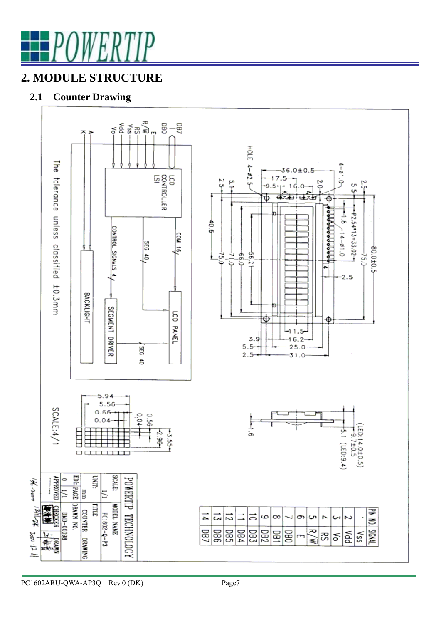

## **2. MODULE STRUCTURE**

#### **2.1 Counter Drawing**



PC1602ARU-QWA-AP3Q Rev.0 (DK) Page7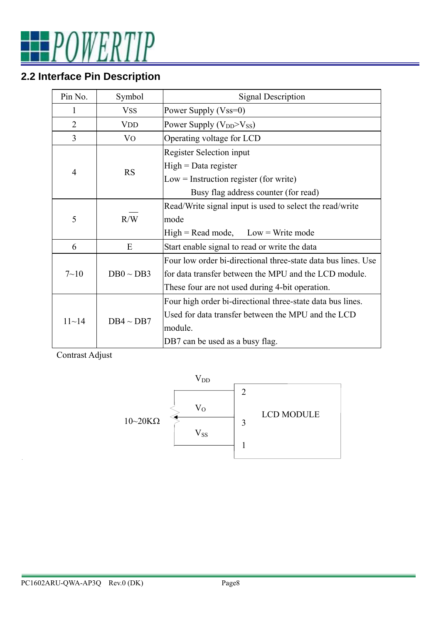POWERTIP

# **2.2 Interface Pin Description**

| Pin No.        | Symbol         | <b>Signal Description</b>                                     |
|----------------|----------------|---------------------------------------------------------------|
| 1              | <b>VSS</b>     | Power Supply (Vss=0)                                          |
| $\overline{2}$ | VDD            | Power Supply $(V_{DD} > V_{SS})$                              |
| 3              | VO             | Operating voltage for LCD                                     |
|                |                | <b>Register Selection input</b>                               |
| $\overline{4}$ |                | $High = Data register$                                        |
|                | <b>RS</b>      | $Low = Instruction register (for write)$                      |
|                |                | Busy flag address counter (for read)                          |
|                |                | Read/Write signal input is used to select the read/write      |
| 5              | R/W            | mode                                                          |
|                |                | $High = Read mode, Low = Write mode$                          |
| 6              | E              | Start enable signal to read or write the data                 |
|                |                | Four low order bi-directional three-state data bus lines. Use |
| $7 - 10$       | $DB0 \sim DB3$ | for data transfer between the MPU and the LCD module.         |
|                |                | These four are not used during 4-bit operation.               |
|                |                | Four high order bi-directional three-state data bus lines.    |
| $11 - 14$      |                | Used for data transfer between the MPU and the LCD            |
|                | $DB4 \sim DB7$ | module.                                                       |
|                |                | DB7 can be used as a busy flag.                               |

Contrast Adjust

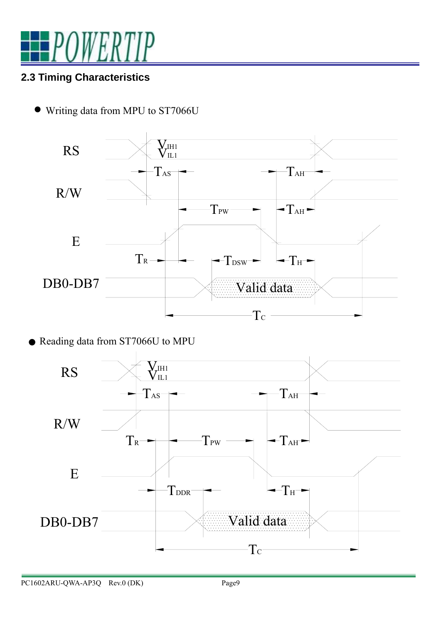

# **2.3 Timing Characteristics**

• Writing data from MPU to ST7066U



● Reading data from ST7066U to MPU

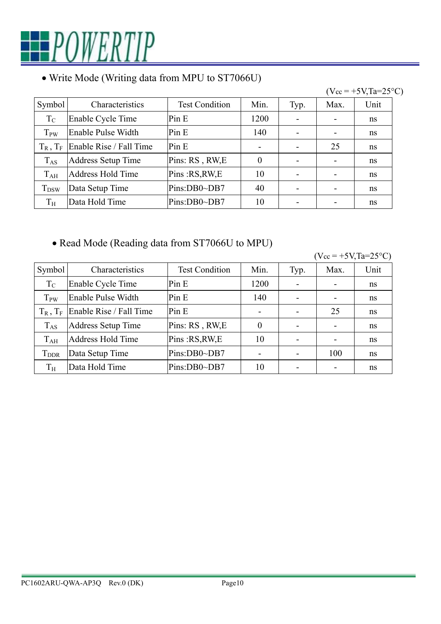

### • Write Mode (Writing data from MPU to ST7066U)



• Read Mode (Reading data from ST7066U to MPU)

| $(V_{cc} = +5V_{,Ta} = 25^{\circ}C)$ |  |
|--------------------------------------|--|
|                                      |  |

| Symbol                  | Characteristics           | <b>Test Condition</b> | Min.           | Typ. | Max.                     | Unit |
|-------------------------|---------------------------|-----------------------|----------------|------|--------------------------|------|
| $T_{\rm C}$             | Enable Cycle Time         | Pin E                 | 1200           |      |                          | ns   |
| T <sub>PW</sub>         | Enable Pulse Width        | Pin E                 | 140            |      | $\overline{\phantom{0}}$ | ns   |
| $T_R$ , $T_F$           | Enable Rise / Fall Time   | Pin E                 | -              |      | 25                       | ns   |
| $T_{AS}$                | <b>Address Setup Time</b> | Pins: RS, RW, E       | $\overline{0}$ |      | $\overline{\phantom{0}}$ | ns   |
| $T_{AH}$                | Address Hold Time         | Pins: RS, RW, E       | 10             |      |                          | ns   |
| <b>T</b> <sub>DDR</sub> | Data Setup Time           | Pins:DB0~DB7          |                |      | 100                      | ns   |
| $T_{\rm H}$             | Data Hold Time            | Pins:DB0~DB7          | 10             |      |                          | ns   |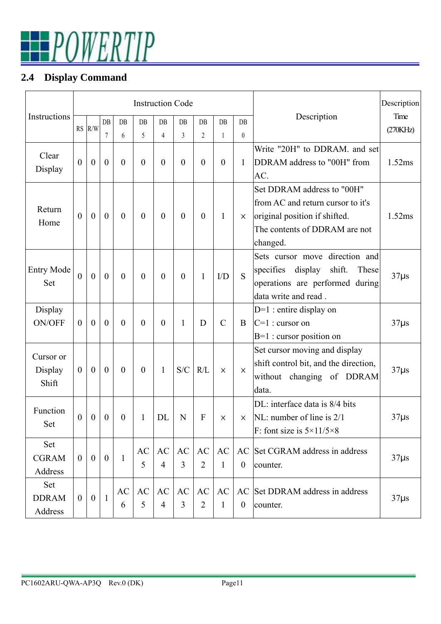

## **2.4 Display Command**

|                   |                |                  |                  |                | <b>Instruction Code</b> |                  |                |                |               |                  |                                          | Description |
|-------------------|----------------|------------------|------------------|----------------|-------------------------|------------------|----------------|----------------|---------------|------------------|------------------------------------------|-------------|
| Instructions      |                |                  | $DB$             | DB             | DB                      | $DB$             | DB             | $DB$           | $DB$          | $DB$             | Description                              | Time        |
|                   |                | $RS$ $R/W$       | 7                | 6              | 5                       | $\overline{4}$   | $\overline{3}$ | $\overline{2}$ | 1             | $\boldsymbol{0}$ |                                          | (270KHz)    |
|                   |                |                  |                  |                |                         |                  |                |                |               |                  | Write "20H" to DDRAM, and set            |             |
| Clear             | $\theta$       | $\boldsymbol{0}$ | $\boldsymbol{0}$ | $\overline{0}$ | $\overline{0}$          | $\overline{0}$   | $\theta$       | $\theta$       | $\theta$      | $\mathbf{1}$     | DDRAM address to "00H" from              | 1.52ms      |
| Display           |                |                  |                  |                |                         |                  |                |                |               |                  | AC.                                      |             |
|                   |                |                  |                  |                |                         |                  |                |                |               |                  | Set DDRAM address to "00H"               |             |
| Return            |                |                  |                  |                |                         |                  |                |                |               |                  | from AC and return cursor to it's        |             |
| Home              | $\theta$       | $\boldsymbol{0}$ | $\mathbf{0}$     | $\theta$       | $\overline{0}$          | $\boldsymbol{0}$ | $\theta$       | $\theta$       | 1             | X                | original position if shifted.            | 1.52ms      |
|                   |                |                  |                  |                |                         |                  |                |                |               |                  | The contents of DDRAM are not            |             |
|                   |                |                  |                  |                |                         |                  |                |                |               |                  | changed.                                 |             |
|                   |                |                  |                  |                |                         |                  |                |                |               |                  | Sets cursor move direction and           |             |
| <b>Entry Mode</b> | $\overline{0}$ | $\mathbf{0}$     | $\mathbf{0}$     | $\theta$       | $\boldsymbol{0}$        | $\boldsymbol{0}$ | $\theta$       | 1              | I/D           | S                | specifies<br>display<br>shift.<br>These  | $37\mu s$   |
| Set               |                |                  |                  |                |                         |                  |                |                |               |                  | operations are performed during          |             |
|                   |                |                  |                  |                |                         |                  |                |                |               |                  | data write and read.                     |             |
| Display           |                |                  |                  |                |                         |                  |                |                |               |                  | $D=1$ : entire display on                |             |
| <b>ON/OFF</b>     | $\overline{0}$ | $\boldsymbol{0}$ | $\boldsymbol{0}$ | $\overline{0}$ | $\overline{0}$          | $\overline{0}$   | 1              | D              | $\mathcal{C}$ | B                | $C=1$ : cursor on                        | $37\mu s$   |
|                   |                |                  |                  |                |                         |                  |                |                |               |                  | $B=1$ : cursor position on               |             |
| Cursor or         |                |                  |                  |                |                         |                  |                |                |               |                  | Set cursor moving and display            |             |
| Display           | $\overline{0}$ | $\mathbf{0}$     | $\mathbf{0}$     | $\theta$       | $\overline{0}$          | $\mathbf{1}$     | S/C            | R/L            | $\times$      | $\times$         | shift control bit, and the direction,    | $37\mu s$   |
| Shift             |                |                  |                  |                |                         |                  |                |                |               |                  | without changing of DDRAM                |             |
|                   |                |                  |                  |                |                         |                  |                |                |               |                  | data.                                    |             |
| Function          |                |                  |                  |                |                         |                  |                |                |               |                  | DL: interface data is 8/4 bits           |             |
| Set               | $\mathbf{0}$   | $\boldsymbol{0}$ | $\boldsymbol{0}$ | $\theta$       | 1                       | DL               | N              | F              | ×             | X                | NL: number of line is $2/1$              | $37\mu s$   |
|                   |                |                  |                  |                |                         |                  |                |                |               |                  | F: font size is $5 \times 11/5 \times 8$ |             |
| Set               |                |                  |                  |                | AC                      | <b>AC</b>        | AC             | AC             | AC            |                  | AC Set CGRAM address in address          |             |
| <b>CGRAM</b>      | $\overline{0}$ | $\overline{0}$   | $\overline{0}$   | $\mathbf{1}$   | 5                       | $\overline{4}$   | 3              | $\overline{2}$ | 1             | $\theta$         | counter.                                 | $37\mus$    |
| Address           |                |                  |                  |                |                         |                  |                |                |               |                  |                                          |             |
| Set               |                |                  |                  | AC             | AC                      | <b>AC</b>        | AC             | AC             | <b>AC</b>     |                  | AC Set DDRAM address in address          |             |
| <b>DDRAM</b>      | $\overline{0}$ | $\overline{0}$   | $\mathbf{1}$     | 6              | 5                       | $\overline{4}$   | 3              | $\overline{2}$ | 1             | $\boldsymbol{0}$ | counter.                                 | $37\mu s$   |
| Address           |                |                  |                  |                |                         |                  |                |                |               |                  |                                          |             |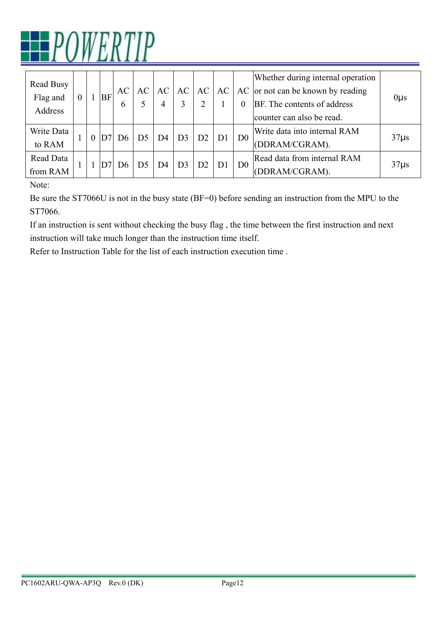

| Read Busy<br>Flag and<br>Address | $\overline{0}$ |          | BF | AC<br>6 | AC             | AC<br>4 | AC             | AC             | AC             | $\Omega$       | Whether during internal operation<br>AC or not can be known by reading<br>BF. The contents of address<br>counter can also be read. | $0\mu s$ |
|----------------------------------|----------------|----------|----|---------|----------------|---------|----------------|----------------|----------------|----------------|------------------------------------------------------------------------------------------------------------------------------------|----------|
| Write Data<br>to RAM             |                | $\theta$ | D7 | D6      | D <sub>5</sub> | D4      | D <sub>3</sub> | D2             | D1             | D <sub>0</sub> | Write data into internal RAM<br>(DDRAM/CGRAM).                                                                                     | $37\mus$ |
| Read Data<br>from RAM            |                |          |    | D6      | D <sub>5</sub> | D4      | D <sub>3</sub> | D <sub>2</sub> | D <sub>1</sub> | D <sub>0</sub> | Read data from internal RAM<br>(DDRAM/CGRAM).                                                                                      | $37\mus$ |

Note:

Be sure the ST7066U is not in the busy state (BF=0) before sending an instruction from the MPU to the ST7066.

If an instruction is sent without checking the busy flag , the time between the first instruction and next instruction will take much longer than the instruction time itself.

Refer to Instruction Table for the list of each instruction execution time .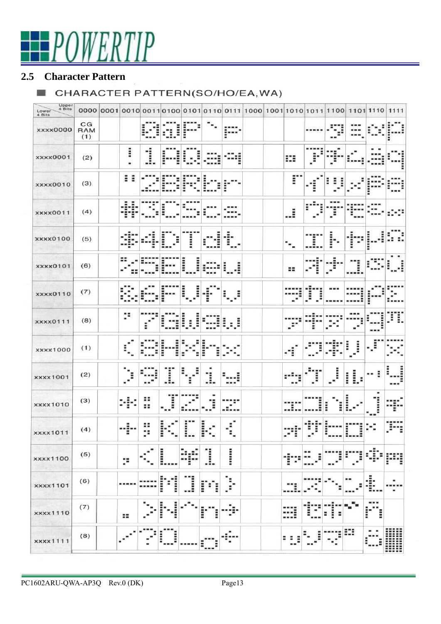# POWERTIP

#### **2.5 Character Pattern**

#### CHARACTER PATTERN(SO/HO/EA, WA)

| Upper<br>4 Bits<br>Lower<br>4 Bits |                         |                          |         |            |             | 0000 0001 0010 0011 0100 0101 0110 0111 1000 1001 1010 1011 1100 1101 110 1111 |             |  |                            |                     |                          |             |        |     |
|------------------------------------|-------------------------|--------------------------|---------|------------|-------------|--------------------------------------------------------------------------------|-------------|--|----------------------------|---------------------|--------------------------|-------------|--------|-----|
| xxxx0000                           | CG<br><b>RAM</b><br>(1) |                          |         | Î          | į           |                                                                                | Ĩ           |  |                            |                     |                          |             |        |     |
| <b>xxxx0001</b>                    | (2)                     | i<br>۰                   | 1       |            |             |                                                                                |             |  | ₩                          | Ξ                   | Ξ                        |             |        |     |
| <b>xxxx0010</b>                    | (3)                     | Ĩ.<br>š                  |         |            |             | Ξ                                                                              | Ē           |  | r                          | i<br>$\blacksquare$ |                          |             |        |     |
| <b>xxxx0011</b>                    | (4)                     | Ē<br>۳                   |         |            |             |                                                                                |             |  | :                          | $\blacksquare$      | Ĵ.                       |             |        |     |
| <b>XXXX0100</b>                    | (5)                     |                          |         | Î          | i           |                                                                                | Ē           |  | $\overline{\phantom{a}}$ . | Ξ                   | ŀ                        | Ĩ           |        |     |
| xxxx0101                           | (6)                     |                          |         |            | i<br>Ē      |                                                                                | i<br>i      |  | $\mathbf{z}$               | Ē                   | Ξ<br>$\blacksquare$<br>٠ | i           |        |     |
| <b>xxxx0110</b>                    | (7)                     |                          |         |            | i<br>i      | I                                                                              | Ē<br>Ξ      |  | ٠                          | i                   |                          |             |        |     |
| <b>XXXX0111</b>                    | (8)                     | p                        | i       | Ξ          | į<br>Ĩ<br>Ē | Ē                                                                              | Î<br>I<br>в |  |                            | Ξ                   |                          |             |        | Ŧ.  |
| xxxx1000                           | (1)                     | ÷                        |         |            |             |                                                                                |             |  | 1                          |                     |                          | i<br>i      | I<br>۰ | ٠   |
| <b>xxxx1001</b>                    | (2)                     | i<br>$\blacksquare$<br>۰ |         | Ι          |             | Έ<br>.:.                                                                       |             |  |                            | Ξ                   | i                        | L<br>i<br>÷ | Ξ      | --- |
| <b>xxxx1010</b>                    | (3)                     | ٠<br>٠<br>Ξ<br>٠         | н<br>88 | Ξ          |             | Ξ                                                                              |             |  |                            | i                   | i<br>Ē                   | i           | ٠<br>ļ |     |
| <b>XXXX1011</b>                    | (4)                     |                          | ::<br>٠ |            |             | i<br>٠                                                                         | Ξ<br>۰      |  | ۰                          |                     |                          |             | ۰      |     |
| <b>xxxx1100</b>                    | (5)                     | ×                        |         | ::::::     |             | l                                                                              | i           |  |                            |                     |                          |             |        |     |
| <b>xxxx1101</b>                    | (6)                     |                          |         | $\ddot{}}$ |             | Ē                                                                              |             |  |                            |                     |                          |             |        |     |
| <b>xxxx1110</b>                    | (7)                     | 88                       |         |            |             | Ξ<br>Ξ                                                                         |             |  |                            |                     |                          |             | Ē<br>Ξ |     |
| xxxx1111                           | (8)                     |                          |         |            |             |                                                                                |             |  |                            |                     |                          | Ξ           |        |     |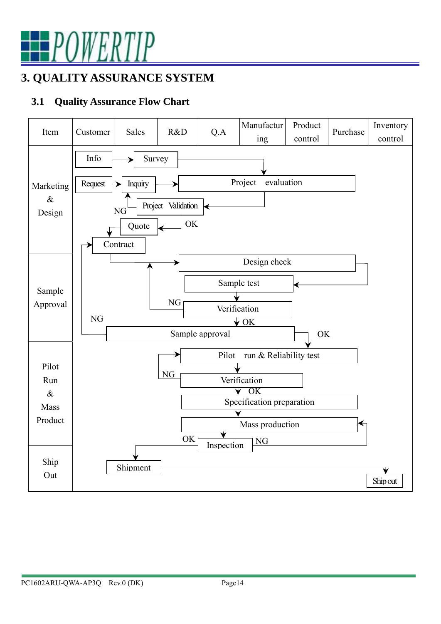

# **3. QUALITY ASSURANCE SYSTEM**

### **3.1 Quality Assurance Flow Chart**

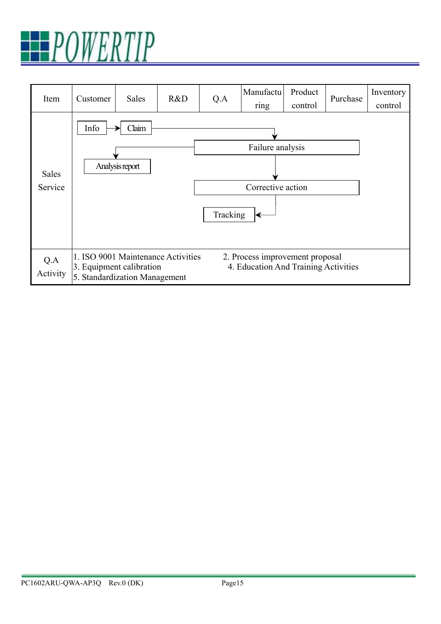

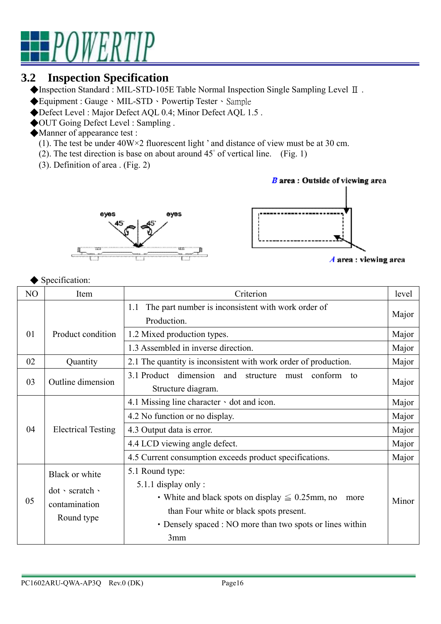

## **3.2 Inspection Specification**

◆Inspection Standard : MIL-STD-105E Table Normal Inspection Single Sampling Level Ⅱ .

- ◆Equipment : Gauge、MIL-STD、Powertip Tester、Sample
- ◆Defect Level : Major Defect AQL 0.4; Minor Defect AQL 1.5 .
- ◆OUT Going Defect Level : Sampling .
- ◆Manner of appearance test :
	- (1). The test be under 40W×2 fluorescent light ' and distance of view must be at 30 cm.
	- (2). The test direction is base on about around 45° of vertical line. (Fig. 1)
	- (3). Definition of area . (Fig. 2)





 $\boldsymbol{A}$  area : viewing area

#### ◆ Specification:

| NO | Item                                                             | Criterion                                                                                                                                                                                                              |       |  |
|----|------------------------------------------------------------------|------------------------------------------------------------------------------------------------------------------------------------------------------------------------------------------------------------------------|-------|--|
|    |                                                                  | The part number is inconsistent with work order of<br>1.1<br>Production.                                                                                                                                               | Major |  |
| 01 | Product condition                                                | 1.2 Mixed production types.                                                                                                                                                                                            | Major |  |
|    |                                                                  | 1.3 Assembled in inverse direction.                                                                                                                                                                                    | Major |  |
| 02 | Quantity                                                         | 2.1 The quantity is inconsistent with work order of production.                                                                                                                                                        | Major |  |
| 03 | Outline dimension                                                | 3.1 Product<br>dimension<br>and<br>structure<br>conform<br>must<br>to<br>Structure diagram.                                                                                                                            | Major |  |
|    |                                                                  | 4.1 Missing line character $\cdot$ dot and icon.                                                                                                                                                                       | Major |  |
|    |                                                                  | 4.2 No function or no display.                                                                                                                                                                                         | Major |  |
| 04 | <b>Electrical Testing</b>                                        | 4.3 Output data is error.                                                                                                                                                                                              | Major |  |
|    |                                                                  | 4.4 LCD viewing angle defect.                                                                                                                                                                                          | Major |  |
|    |                                                                  | 4.5 Current consumption exceeds product specifications.                                                                                                                                                                | Major |  |
| 05 | Black or white<br>dot · scratch ·<br>contamination<br>Round type | 5.1 Round type:<br>5.1.1 display only:<br>• White and black spots on display $\leq 0.25$ mm, no<br>more<br>than Four white or black spots present.<br>• Densely spaced : NO more than two spots or lines within<br>3mm | Minor |  |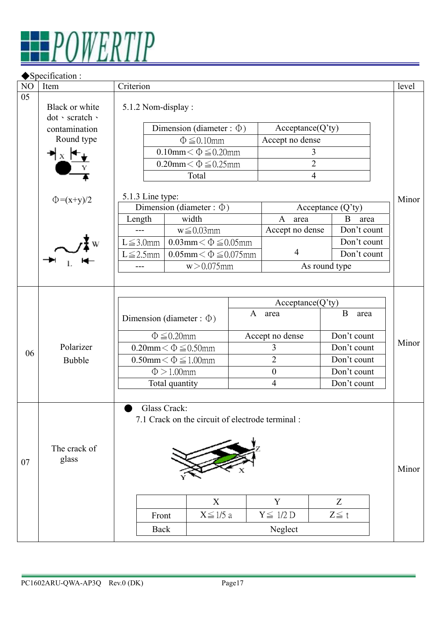

|    | ◆ Specification :                 |                                  |                                                  |                                                       |                     |       |  |
|----|-----------------------------------|----------------------------------|--------------------------------------------------|-------------------------------------------------------|---------------------|-------|--|
| NO | Item                              | Criterion                        |                                                  |                                                       |                     | level |  |
| 05 | Black or white<br>dot · scratch · | 5.1.2 Nom-display:               |                                                  |                                                       |                     |       |  |
|    | contamination                     | Dimension (diameter : $\Phi$ )   | Acceptance(Q'ty)                                 |                                                       |                     |       |  |
|    | Round type                        |                                  | Accept no dense<br>$\Phi \leq 0.10$ mm           |                                                       |                     |       |  |
|    |                                   |                                  | $0.10$ mm $< \Phi \leq 0.20$ mm                  | 3                                                     |                     |       |  |
|    |                                   |                                  | $0.20$ mm $<$ $\Phi \le 0.25$ mm                 | $\overline{2}$                                        |                     |       |  |
|    |                                   |                                  | Total                                            | $\overline{4}$                                        |                     |       |  |
|    | $\Phi = (x+y)/2$                  | 5.1.3 Line type:                 |                                                  |                                                       |                     | Minor |  |
|    |                                   | Dimension (diameter : $\Phi$ )   |                                                  |                                                       | Acceptance $(Q'ty)$ |       |  |
|    |                                   | Length                           | width                                            | $\mathbf{A}$<br>area                                  | B<br>area           |       |  |
|    |                                   | $---$                            | $w \leq 0.03$ mm                                 | Accept no dense                                       | Don't count         |       |  |
|    |                                   | $L \leq 3.0$ mm                  | $0.03$ mm $<$ $\Phi \leq 0.05$ mm                |                                                       | Don't count         |       |  |
|    |                                   | $L \leq 2.5$ mm                  | $0.05$ mm $<$ $\Phi \leq 0.075$ mm               | $\overline{4}$                                        | Don't count         |       |  |
|    |                                   |                                  | $w > 0.075$ mm                                   |                                                       | As round type       |       |  |
|    |                                   |                                  |                                                  |                                                       |                     |       |  |
|    |                                   |                                  |                                                  |                                                       |                     |       |  |
|    |                                   |                                  |                                                  | Acceptance(Q <sup>2</sup> ty)<br>$\mathbf{A}$<br>area | $\bf{B}$<br>area    |       |  |
|    |                                   | Dimension (diameter : $\Phi$ )   |                                                  |                                                       |                     |       |  |
|    |                                   | $\Phi \leq 0.20$ mm              |                                                  | Accept no dense                                       | Don't count         |       |  |
|    | Polarizer                         | $0.20$ mm $<$ $\Phi \le 0.50$ mm |                                                  | 3                                                     | Don't count         | Minor |  |
| 06 | Bubble                            | $0.50$ mm $<$ $\Phi \le 1.00$ mm |                                                  | $\overline{2}$                                        | Don't count         |       |  |
|    |                                   | $\Phi > 1.00$ mm                 |                                                  | $\boldsymbol{0}$                                      | Don't count         |       |  |
|    |                                   | Total quantity                   |                                                  | $\overline{4}$                                        | Don't count         |       |  |
|    |                                   |                                  |                                                  |                                                       |                     |       |  |
|    |                                   | Glass Crack:                     | 7.1 Crack on the circuit of electrode terminal : |                                                       |                     |       |  |
| 07 | The crack of<br>glass             |                                  |                                                  |                                                       |                     | Minor |  |
|    |                                   |                                  | X                                                | Y                                                     | Z                   |       |  |
|    |                                   | Front                            | $X \leq 1/5$ a                                   | $Y \leq 1/2 D$                                        | $Z \leqq t$         |       |  |
|    |                                   | <b>Back</b>                      |                                                  | Neglect                                               |                     |       |  |
|    |                                   |                                  |                                                  |                                                       |                     |       |  |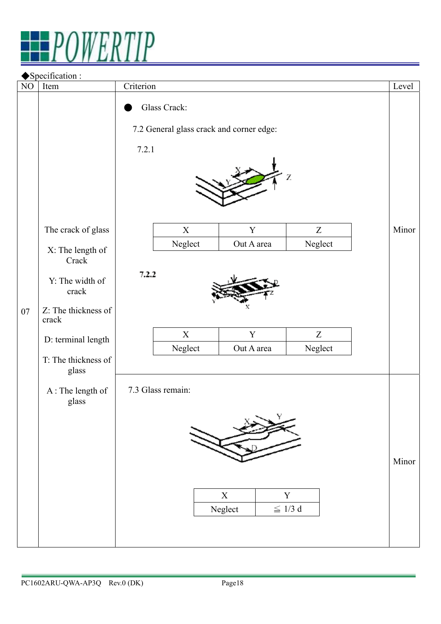

|          | Specification :              |                                                                   |                           |                              |       |
|----------|------------------------------|-------------------------------------------------------------------|---------------------------|------------------------------|-------|
| $\rm NO$ | Item                         | Criterion                                                         |                           |                              | Level |
|          |                              | Glass Crack:<br>7.2 General glass crack and corner edge:<br>7.2.1 |                           |                              |       |
|          | The crack of glass           | $\mathbf X$                                                       | $\mathbf Y$               | Z                            | Minor |
|          | X: The length of<br>Crack    | Neglect                                                           | Out A area                | Neglect                      |       |
|          | Y: The width of<br>crack     | 7.2.2                                                             |                           |                              |       |
| 07       | Z: The thickness of<br>crack |                                                                   |                           |                              |       |
|          | D: terminal length           | $\mathbf X$<br>Neglect                                            | $\mathbf Y$<br>Out A area | Z<br>Neglect                 |       |
|          | T: The thickness of<br>glass |                                                                   |                           |                              |       |
|          | A: The length of<br>glass    | 7.3 Glass remain:                                                 |                           |                              |       |
|          |                              |                                                                   | $\mathbf X$<br>Neglect    | $\mathbf Y$<br>$\leqq$ 1/3 d | Minor |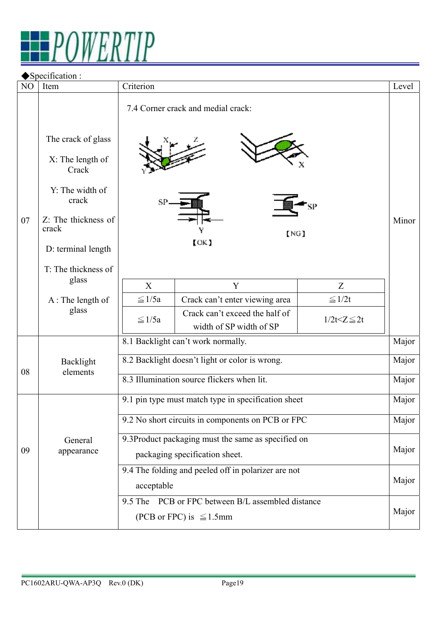

#### ◆Specification :

| NO | Item                                                                                                                                                     | Criterion                                                                                   |                                                           |                    | Level |  |
|----|----------------------------------------------------------------------------------------------------------------------------------------------------------|---------------------------------------------------------------------------------------------|-----------------------------------------------------------|--------------------|-------|--|
| 07 | The crack of glass<br>X: The length of<br>Crack<br>Y: The width of<br>crack<br>Z: The thickness of<br>crack<br>D: terminal length<br>T: The thickness of | 7.4 Corner crack and medial crack:<br>SP.<br>[NG]<br>$($ OK $)$                             |                                                           |                    |       |  |
|    | glass                                                                                                                                                    | X                                                                                           | Y                                                         | Z                  |       |  |
|    | A: The length of                                                                                                                                         | $\leq$ 1/5a                                                                                 | Crack can't enter viewing area                            | $\leq 1/2t$        |       |  |
|    | glass                                                                                                                                                    | $\leq$ 1/5a                                                                                 | Crack can't exceed the half of<br>width of SP width of SP | $1/2t < Z \leq 2t$ |       |  |
|    |                                                                                                                                                          |                                                                                             | 8.1 Backlight can't work normally.                        |                    | Major |  |
| 08 | Backlight<br>elements                                                                                                                                    | 8.2 Backlight doesn't light or color is wrong.                                              |                                                           |                    |       |  |
|    |                                                                                                                                                          | 8.3 Illumination source flickers when lit.                                                  |                                                           |                    |       |  |
|    |                                                                                                                                                          | 9.1 pin type must match type in specification sheet                                         |                                                           |                    |       |  |
|    |                                                                                                                                                          | 9.2 No short circuits in components on PCB or FPC                                           |                                                           |                    |       |  |
| 09 | General<br>appearance                                                                                                                                    | 9.3Product packaging must the same as specified on<br>packaging specification sheet.        |                                                           |                    |       |  |
|    |                                                                                                                                                          | 9.4 The folding and peeled off in polarizer are not<br>acceptable                           |                                                           |                    |       |  |
|    |                                                                                                                                                          | 9.5 The PCB or FPC between B/L assembled distance<br>Major<br>(PCB or FPC) is $\leq 1.5$ mm |                                                           |                    |       |  |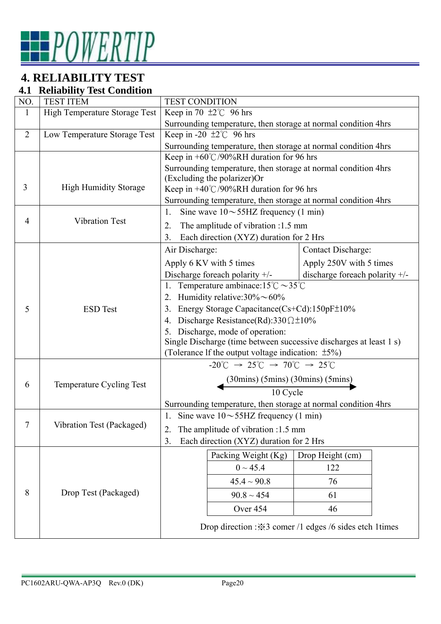

# **4. RELIABILITY TEST**

#### **4.1 Reliability Test Condition**

| NO.            | <b>TEST ITEM</b>              | <b>TEST CONDITION</b>                                                                                     |                                                                |  |  |  |  |
|----------------|-------------------------------|-----------------------------------------------------------------------------------------------------------|----------------------------------------------------------------|--|--|--|--|
| 1              | High Temperature Storage Test | Keep in 70 $\pm 2^{\circ}$ C 96 hrs                                                                       |                                                                |  |  |  |  |
|                |                               | Surrounding temperature, then storage at normal condition 4hrs                                            |                                                                |  |  |  |  |
| $\overline{2}$ | Low Temperature Storage Test  | Keep in -20 $\pm 2^{\circ}$ 96 hrs                                                                        |                                                                |  |  |  |  |
|                |                               |                                                                                                           | Surrounding temperature, then storage at normal condition 4hrs |  |  |  |  |
|                |                               | Keep in $+60^{\circ}$ C/90%RH duration for 96 hrs                                                         |                                                                |  |  |  |  |
|                |                               | Surrounding temperature, then storage at normal condition 4hrs                                            |                                                                |  |  |  |  |
| 3              | <b>High Humidity Storage</b>  | (Excluding the polarizer)Or                                                                               |                                                                |  |  |  |  |
|                |                               | Keep in $+40^{\circ}$ C/90%RH duration for 96 hrs                                                         |                                                                |  |  |  |  |
|                |                               |                                                                                                           | Surrounding temperature, then storage at normal condition 4hrs |  |  |  |  |
| 4              | <b>Vibration Test</b>         | 1.<br>Sine wave $10 \sim 55$ HZ frequency (1 min)                                                         |                                                                |  |  |  |  |
|                |                               | The amplitude of vibration :1.5 mm<br>2.                                                                  |                                                                |  |  |  |  |
|                |                               | Each direction (XYZ) duration for 2 Hrs<br>3.                                                             |                                                                |  |  |  |  |
|                |                               | Air Discharge:                                                                                            | Contact Discharge:                                             |  |  |  |  |
|                |                               | Apply 6 KV with 5 times                                                                                   | Apply 250V with 5 times                                        |  |  |  |  |
|                |                               | Discharge for each polarity +/-                                                                           | discharge for<br>each polarity $+/-$                           |  |  |  |  |
|                |                               | Temperature ambinace:15°C $\sim$ 35°C<br>1.                                                               |                                                                |  |  |  |  |
|                |                               | Humidity relative: $30\% \sim 60\%$<br>2.                                                                 |                                                                |  |  |  |  |
| 5              | <b>ESD</b> Test               | Energy Storage Capacitance(Cs+Cd):150pF±10%<br>3.                                                         |                                                                |  |  |  |  |
|                |                               | Discharge Resistance(Rd):330 $\Omega \pm 10\%$<br>4.                                                      |                                                                |  |  |  |  |
|                |                               | Discharge, mode of operation:<br>5.                                                                       |                                                                |  |  |  |  |
|                |                               | Single Discharge (time between successive discharges at least 1 s)                                        |                                                                |  |  |  |  |
|                |                               | (Tolerance If the output voltage indication: $\pm 5\%$ )                                                  |                                                                |  |  |  |  |
|                |                               | $-20^{\circ}$ C $\rightarrow$ 25 $^{\circ}$ C $\rightarrow$ 70 $^{\circ}$ C $\rightarrow$ 25 $^{\circ}$ C |                                                                |  |  |  |  |
| 6              | Temperature Cycling Test      |                                                                                                           |                                                                |  |  |  |  |
|                |                               | $\frac{(30 \text{mins}) (5 \text{mins}) (30 \text{mins}) (5 \text{mins})}{10 \text{ Cycle}}$              |                                                                |  |  |  |  |
|                |                               | Surrounding temperature, then storage at normal condition 4hrs                                            |                                                                |  |  |  |  |
|                |                               | 1. Sine wave $10 \sim 55$ HZ frequency (1 min)                                                            |                                                                |  |  |  |  |
|                | Vibration Test (Packaged)     | The amplitude of vibration :1.5 mm<br>2.                                                                  |                                                                |  |  |  |  |
|                |                               | Each direction (XYZ) duration for 2 Hrs<br>3.                                                             |                                                                |  |  |  |  |
|                |                               | Packing Weight (Kg)                                                                                       | Drop Height (cm)                                               |  |  |  |  |
|                |                               | $0 \sim 45.4$                                                                                             | 122                                                            |  |  |  |  |
|                |                               |                                                                                                           |                                                                |  |  |  |  |
|                |                               | $45.4 \sim 90.8$                                                                                          | 76                                                             |  |  |  |  |
| 8              | Drop Test (Packaged)          | $90.8 \sim 454$                                                                                           | 61                                                             |  |  |  |  |
|                |                               | Over 454                                                                                                  | 46                                                             |  |  |  |  |
|                |                               |                                                                                                           | Drop direction : X3 comer /1 edges /6 sides etch 1 times       |  |  |  |  |
|                |                               |                                                                                                           |                                                                |  |  |  |  |